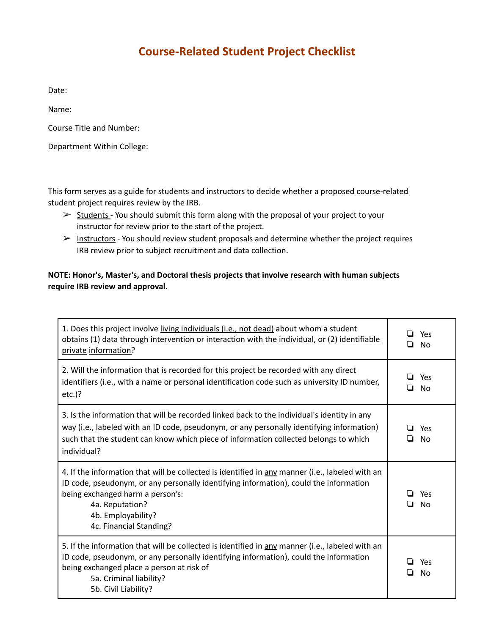## **Course-Related Student Project Checklist**

Date:

Name:

Course Title and Number:

Department Within College:

This form serves as a guide for students and instructors to decide whether a proposed course-related student project requires review by the IRB.

- ➢ Students You should submit this form along with the proposal of your project to your instructor for review prior to the start of the project.
- $\triangleright$  Instructors You should review student proposals and determine whether the project requires IRB review prior to subject recruitment and data collection.

## **NOTE: Honor's, Master's, and Doctoral thesis projects that involve research with human subjects require IRB review and approval.**

| 1. Does this project involve living individuals (i.e., not dead) about whom a student<br>obtains (1) data through intervention or interaction with the individual, or (2) identifiable<br>private information?                                                                                   | Yes<br><b>No</b><br>ப             |
|--------------------------------------------------------------------------------------------------------------------------------------------------------------------------------------------------------------------------------------------------------------------------------------------------|-----------------------------------|
| 2. Will the information that is recorded for this project be recorded with any direct<br>identifiers (i.e., with a name or personal identification code such as university ID number,<br>$etc.$ )?                                                                                               | l 1<br>Yes<br>◘<br>N <sub>0</sub> |
| 3. Is the information that will be recorded linked back to the individual's identity in any<br>way (i.e., labeled with an ID code, pseudonym, or any personally identifying information)<br>such that the student can know which piece of information collected belongs to which<br>individual?  | Yes<br>l 1<br>No<br>l 1           |
| 4. If the information that will be collected is identified in any manner (i.e., labeled with an<br>ID code, pseudonym, or any personally identifying information), could the information<br>being exchanged harm a person's:<br>4a. Reputation?<br>4b. Employability?<br>4c. Financial Standing? | Yes<br>ப<br>No<br>l 1             |
| 5. If the information that will be collected is identified in any manner (i.e., labeled with an<br>ID code, pseudonym, or any personally identifying information), could the information<br>being exchanged place a person at risk of<br>5a. Criminal liability?<br>5b. Civil Liability?         | Yes<br>No                         |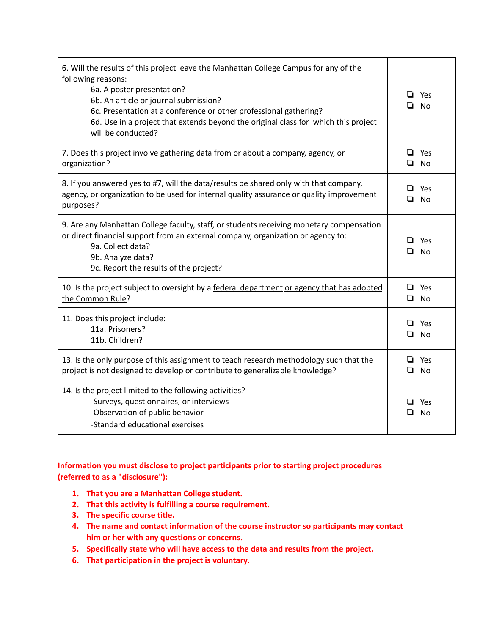| 6. Will the results of this project leave the Manhattan College Campus for any of the<br>following reasons:<br>6a. A poster presentation?<br>6b. An article or journal submission?<br>6c. Presentation at a conference or other professional gathering?<br>6d. Use in a project that extends beyond the original class for which this project<br>will be conducted? | Yes<br>ப<br><b>No</b> |
|---------------------------------------------------------------------------------------------------------------------------------------------------------------------------------------------------------------------------------------------------------------------------------------------------------------------------------------------------------------------|-----------------------|
| 7. Does this project involve gathering data from or about a company, agency, or<br>organization?                                                                                                                                                                                                                                                                    | ❏<br>Yes<br>$\Box$ No |
| 8. If you answered yes to #7, will the data/results be shared only with that company,<br>agency, or organization to be used for internal quality assurance or quality improvement<br>purposes?                                                                                                                                                                      | Yes<br>ப<br>No<br>❏   |
| 9. Are any Manhattan College faculty, staff, or students receiving monetary compensation<br>or direct financial support from an external company, organization or agency to:<br>9a. Collect data?<br>9b. Analyze data?<br>9c. Report the results of the project?                                                                                                    | Yes<br>ப<br>No<br>u   |
| 10. Is the project subject to oversight by a federal department or agency that has adopted<br>the Common Rule?                                                                                                                                                                                                                                                      | ❏<br>Yes<br>$\Box$ No |
| 11. Does this project include:<br>11a. Prisoners?<br>11b. Children?                                                                                                                                                                                                                                                                                                 | ❏<br>Yes<br>No<br>O.  |
| 13. Is the only purpose of this assignment to teach research methodology such that the<br>project is not designed to develop or contribute to generalizable knowledge?                                                                                                                                                                                              | $\Box$ Yes<br>❏<br>No |
| 14. Is the project limited to the following activities?<br>-Surveys, questionnaires, or interviews<br>-Observation of public behavior<br>-Standard educational exercises                                                                                                                                                                                            | Yes<br>ப<br>ப<br>No   |

## **Information you must disclose to project participants prior to starting project procedures (referred to as a "disclosure"):**

- **1. That you are a Manhattan College student.**
- **2. That this activity is fulfilling a course requirement.**
- **3. The specific course title.**
- **4. The name and contact information of the course instructor so participants may contact him or her with any questions or concerns.**
- **5. Specifically state who will have access to the data and results from the project.**
- **6. That participation in the project is voluntary.**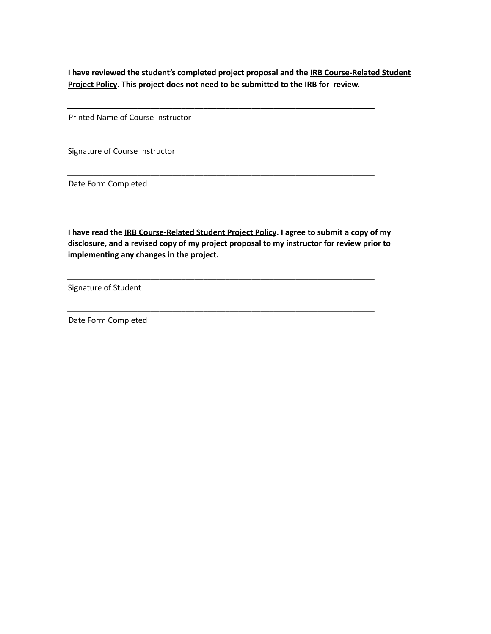**I have reviewed the student's completed project proposal and the IRB Course-Related Student Project Policy. This project does not need to be submitted to the IRB for review.**

**\_\_\_\_\_\_\_\_\_\_\_\_\_\_\_\_\_\_\_\_\_\_\_\_\_\_\_\_\_\_\_\_\_\_\_\_\_\_\_\_\_\_\_\_\_\_\_\_\_\_\_\_\_\_\_\_\_\_\_\_\_\_\_\_\_\_\_\_\_\_**

\_\_\_\_\_\_\_\_\_\_\_\_\_\_\_\_\_\_\_\_\_\_\_\_\_\_\_\_\_\_\_\_\_\_\_\_\_\_\_\_\_\_\_\_\_\_\_\_\_\_\_\_\_\_\_\_\_\_\_\_\_\_\_\_\_\_\_\_\_\_

\_\_\_\_\_\_\_\_\_\_\_\_\_\_\_\_\_\_\_\_\_\_\_\_\_\_\_\_\_\_\_\_\_\_\_\_\_\_\_\_\_\_\_\_\_\_\_\_\_\_\_\_\_\_\_\_\_\_\_\_\_\_\_\_\_\_\_\_\_\_

Printed Name of Course Instructor

Signature of Course Instructor

Date Form Completed

**I have read the IRB Course-Related Student Project Policy. I agree to submit a copy of my disclosure, and a revised copy of my project proposal to my instructor for review prior to implementing any changes in the project.**

\_\_\_\_\_\_\_\_\_\_\_\_\_\_\_\_\_\_\_\_\_\_\_\_\_\_\_\_\_\_\_\_\_\_\_\_\_\_\_\_\_\_\_\_\_\_\_\_\_\_\_\_\_\_\_\_\_\_\_\_\_\_\_\_\_\_\_\_\_\_

\_\_\_\_\_\_\_\_\_\_\_\_\_\_\_\_\_\_\_\_\_\_\_\_\_\_\_\_\_\_\_\_\_\_\_\_\_\_\_\_\_\_\_\_\_\_\_\_\_\_\_\_\_\_\_\_\_\_\_\_\_\_\_\_\_\_\_\_\_\_

Signature of Student

Date Form Completed